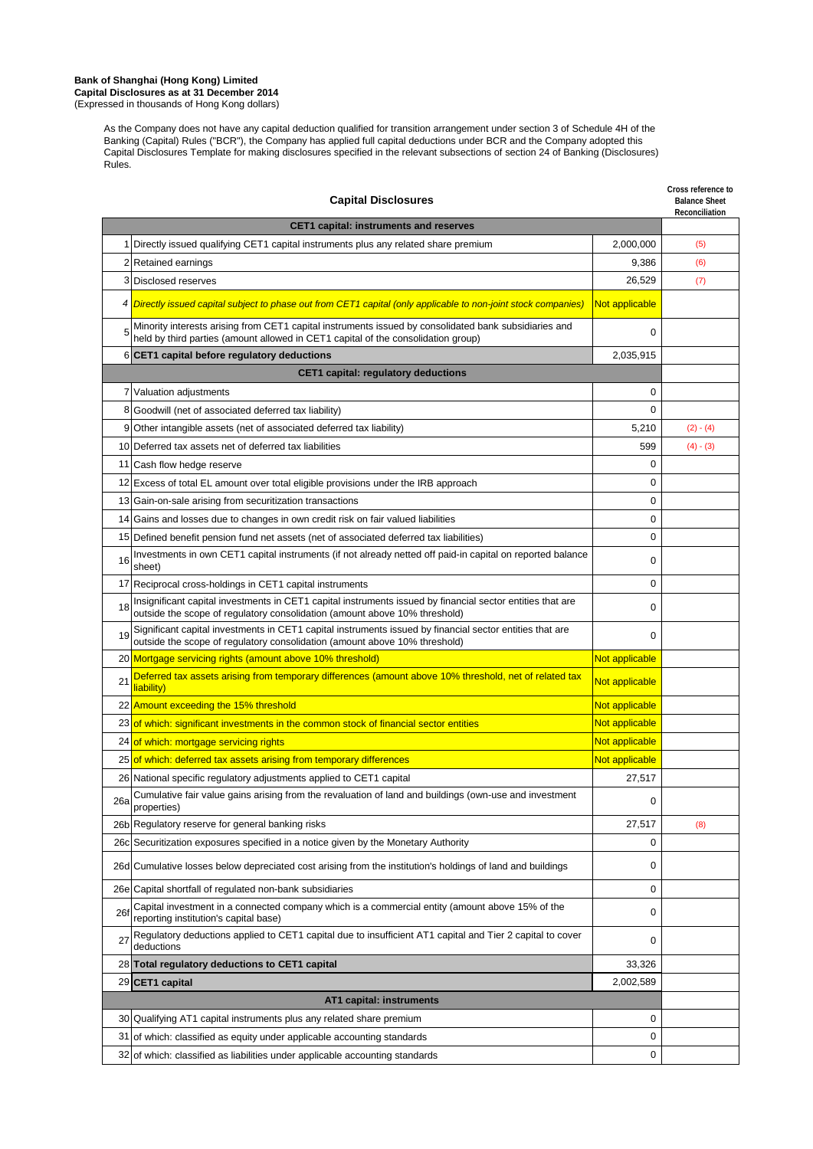#### **Bank of Shanghai (Hong Kong) Limited Capital Disclosures as at 31 December 2014** (Expressed in thousands of Hong Kong dollars)

As the Company does not have any capital deduction qualified for transition arrangement under section 3 of Schedule 4H of the Banking (Capital) Rules ("BCR"), the Company has applied full capital deductions under BCR and the Company adopted this Capital Disclosures Template for making disclosures specified in the relevant subsections of section 24 of Banking (Disclosures) Rules.

| <b>Capital Disclosures</b> |                                                                                                                                                                                            |                | Cross reference to<br><b>Balance Sheet</b><br>Reconciliation |
|----------------------------|--------------------------------------------------------------------------------------------------------------------------------------------------------------------------------------------|----------------|--------------------------------------------------------------|
|                            | <b>CET1 capital: instruments and reserves</b>                                                                                                                                              |                |                                                              |
|                            | 1 Directly issued qualifying CET1 capital instruments plus any related share premium                                                                                                       | 2,000,000      | (5)                                                          |
|                            | 2 Retained earnings                                                                                                                                                                        | 9,386          | (6)                                                          |
|                            | 3 Disclosed reserves                                                                                                                                                                       | 26,529         | (7)                                                          |
| 4                          | Directly issued capital subject to phase out from CET1 capital (only applicable to non-joint stock companies)                                                                              | Not applicable |                                                              |
|                            | Minority interests arising from CET1 capital instruments issued by consolidated bank subsidiaries and<br>held by third parties (amount allowed in CET1 capital of the consolidation group) | $\Omega$       |                                                              |
|                            | 6 CET1 capital before regulatory deductions                                                                                                                                                | 2,035,915      |                                                              |
|                            | <b>CET1 capital: regulatory deductions</b>                                                                                                                                                 |                |                                                              |
|                            | 7 Valuation adjustments                                                                                                                                                                    | 0              |                                                              |
| 8                          | Goodwill (net of associated deferred tax liability)                                                                                                                                        | 0              |                                                              |
| 9                          | Other intangible assets (net of associated deferred tax liability)                                                                                                                         | 5,210          | $(2) - (4)$                                                  |
|                            | 10 Deferred tax assets net of deferred tax liabilities                                                                                                                                     | 599            | $(4) - (3)$                                                  |
|                            | 11 Cash flow hedge reserve                                                                                                                                                                 | 0              |                                                              |
|                            | 12 Excess of total EL amount over total eligible provisions under the IRB approach                                                                                                         | $\mathbf 0$    |                                                              |
|                            | 13 Gain-on-sale arising from securitization transactions                                                                                                                                   | 0              |                                                              |
|                            | 14 Gains and losses due to changes in own credit risk on fair valued liabilities                                                                                                           | 0              |                                                              |
|                            | 15 Defined benefit pension fund net assets (net of associated deferred tax liabilities)                                                                                                    | $\mathbf 0$    |                                                              |
| 16                         | Investments in own CET1 capital instruments (if not already netted off paid-in capital on reported balance<br>sheet)                                                                       | 0              |                                                              |
|                            | 17 Reciprocal cross-holdings in CET1 capital instruments                                                                                                                                   | $\mathbf 0$    |                                                              |
| 18                         | Insignificant capital investments in CET1 capital instruments issued by financial sector entities that are<br>outside the scope of regulatory consolidation (amount above 10% threshold)   | 0              |                                                              |
| 19                         | Significant capital investments in CET1 capital instruments issued by financial sector entities that are<br>outside the scope of regulatory consolidation (amount above 10% threshold)     | $\Omega$       |                                                              |
|                            | 20 Mortgage servicing rights (amount above 10% threshold)                                                                                                                                  | Not applicable |                                                              |
| 21                         | Deferred tax assets arising from temporary differences (amount above 10% threshold, net of related tax<br>liability)                                                                       | Not applicable |                                                              |
|                            | 22 Amount exceeding the 15% threshold                                                                                                                                                      | Not applicable |                                                              |
|                            | 23 of which: significant investments in the common stock of financial sector entities                                                                                                      | Not applicable |                                                              |
|                            | 24 of which: mortgage servicing rights                                                                                                                                                     | Not applicable |                                                              |
|                            | 25 of which: deferred tax assets arising from temporary differences                                                                                                                        | Not applicable |                                                              |
|                            | 26 National specific regulatory adjustments applied to CET1 capital                                                                                                                        | 27,517         |                                                              |
| 26a                        | Cumulative fair value gains arising from the revaluation of land and buildings (own-use and investment<br>properties)                                                                      | 0              |                                                              |
|                            | 26b Regulatory reserve for general banking risks                                                                                                                                           | 27,517         | (8)                                                          |
|                            | 26c Securitization exposures specified in a notice given by the Monetary Authority                                                                                                         | 0              |                                                              |
|                            | 26d Cumulative losses below depreciated cost arising from the institution's holdings of land and buildings                                                                                 | 0              |                                                              |
|                            | 26e Capital shortfall of regulated non-bank subsidiaries                                                                                                                                   | 0              |                                                              |
| 26f                        | Capital investment in a connected company which is a commercial entity (amount above 15% of the<br>reporting institution's capital base)                                                   | 0              |                                                              |
| 27                         | Regulatory deductions applied to CET1 capital due to insufficient AT1 capital and Tier 2 capital to cover<br>deductions                                                                    | 0              |                                                              |
|                            | 28 Total regulatory deductions to CET1 capital                                                                                                                                             | 33,326         |                                                              |
|                            | 29 CET1 capital                                                                                                                                                                            | 2,002,589      |                                                              |
| AT1 capital: instruments   |                                                                                                                                                                                            |                |                                                              |
|                            | 30 Qualifying AT1 capital instruments plus any related share premium                                                                                                                       | 0              |                                                              |
|                            | 31 of which: classified as equity under applicable accounting standards                                                                                                                    | 0              |                                                              |
|                            | 32 of which: classified as liabilities under applicable accounting standards                                                                                                               | 0              |                                                              |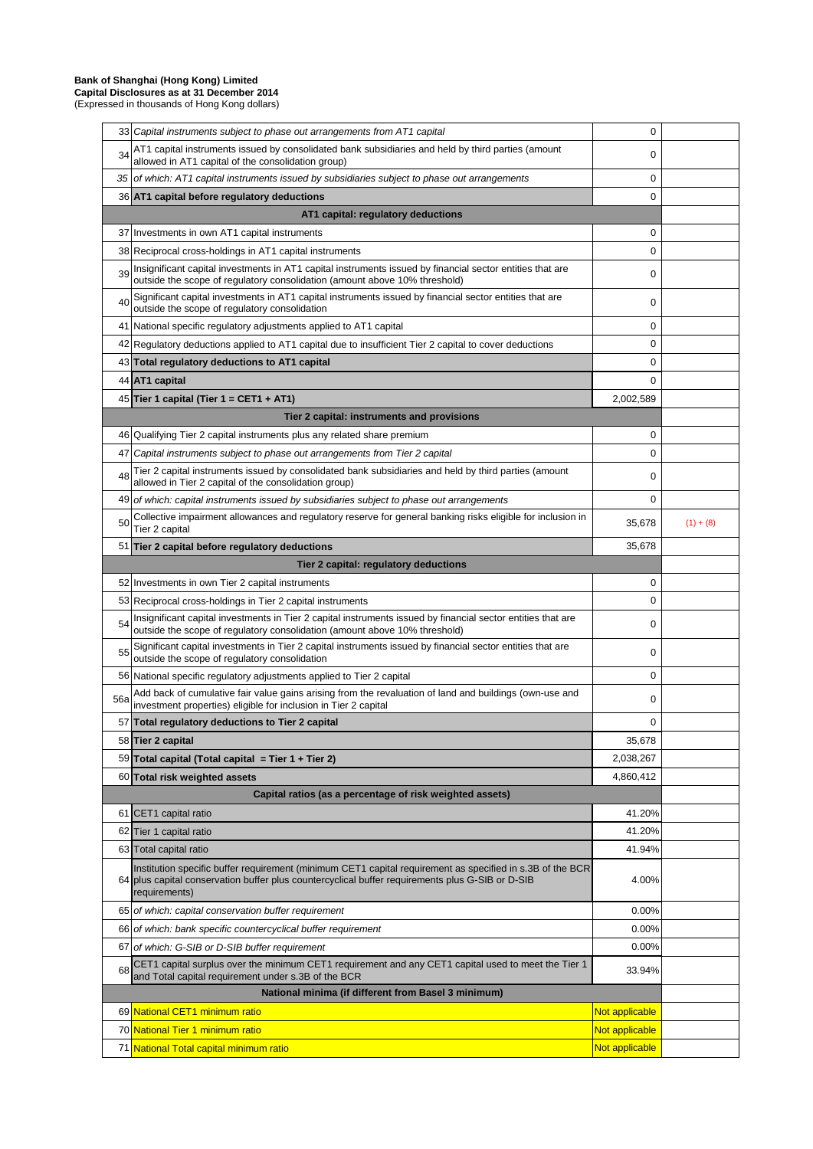# **Bank of Shanghai (Hong Kong) Limited**

**Capital Disclosures as at 31 December 2014** (Expressed in thousands of Hong Kong dollars)

|     | 33 Capital instruments subject to phase out arrangements from AT1 capital                                                                                                                                                      | 0              |             |
|-----|--------------------------------------------------------------------------------------------------------------------------------------------------------------------------------------------------------------------------------|----------------|-------------|
| 34  | AT1 capital instruments issued by consolidated bank subsidiaries and held by third parties (amount<br>allowed in AT1 capital of the consolidation group)                                                                       | 0              |             |
|     | 35 of which: AT1 capital instruments issued by subsidiaries subject to phase out arrangements                                                                                                                                  | 0              |             |
|     | 36 AT1 capital before regulatory deductions                                                                                                                                                                                    | 0              |             |
|     | AT1 capital: regulatory deductions                                                                                                                                                                                             |                |             |
|     | 37 Investments in own AT1 capital instruments                                                                                                                                                                                  | 0              |             |
|     | 38 Reciprocal cross-holdings in AT1 capital instruments                                                                                                                                                                        | 0              |             |
| 39  | Insignificant capital investments in AT1 capital instruments issued by financial sector entities that are<br>outside the scope of regulatory consolidation (amount above 10% threshold)                                        | 0              |             |
| 40  | Significant capital investments in AT1 capital instruments issued by financial sector entities that are<br>outside the scope of regulatory consolidation                                                                       | 0              |             |
|     | 41 National specific regulatory adjustments applied to AT1 capital                                                                                                                                                             | 0              |             |
|     | 42 Regulatory deductions applied to AT1 capital due to insufficient Tier 2 capital to cover deductions                                                                                                                         | 0              |             |
|     | 43 Total regulatory deductions to AT1 capital                                                                                                                                                                                  | 0              |             |
|     | 44 AT1 capital                                                                                                                                                                                                                 | 0              |             |
|     | 45 Tier 1 capital (Tier 1 = CET1 + AT1)                                                                                                                                                                                        | 2,002,589      |             |
|     | Tier 2 capital: instruments and provisions                                                                                                                                                                                     |                |             |
|     | 46 Qualifying Tier 2 capital instruments plus any related share premium                                                                                                                                                        | 0              |             |
| 47  | Capital instruments subject to phase out arrangements from Tier 2 capital                                                                                                                                                      | 0              |             |
| 48  | Tier 2 capital instruments issued by consolidated bank subsidiaries and held by third parties (amount<br>allowed in Tier 2 capital of the consolidation group)                                                                 | 0              |             |
|     | 49 of which: capital instruments issued by subsidiaries subject to phase out arrangements                                                                                                                                      | 0              |             |
| 50  | Collective impairment allowances and regulatory reserve for general banking risks eligible for inclusion in<br>Tier 2 capital                                                                                                  | 35,678         | $(1) + (8)$ |
|     | 51 Tier 2 capital before regulatory deductions                                                                                                                                                                                 | 35,678         |             |
|     | Tier 2 capital: regulatory deductions                                                                                                                                                                                          |                |             |
|     | 52 Investments in own Tier 2 capital instruments                                                                                                                                                                               | 0              |             |
|     | 53 Reciprocal cross-holdings in Tier 2 capital instruments                                                                                                                                                                     | 0              |             |
| 54  | Insignificant capital investments in Tier 2 capital instruments issued by financial sector entities that are<br>outside the scope of regulatory consolidation (amount above 10% threshold)                                     | 0              |             |
|     |                                                                                                                                                                                                                                |                |             |
| 55  | Significant capital investments in Tier 2 capital instruments issued by financial sector entities that are<br>outside the scope of regulatory consolidation                                                                    | 0              |             |
|     | 56 National specific regulatory adjustments applied to Tier 2 capital                                                                                                                                                          | 0              |             |
| 56a | Add back of cumulative fair value gains arising from the revaluation of land and buildings (own-use and<br>investment properties) eligible for inclusion in Tier 2 capital                                                     | 0              |             |
|     | 57 Total regulatory deductions to Tier 2 capital                                                                                                                                                                               | 0              |             |
|     | 58 Tier 2 capital                                                                                                                                                                                                              | 35,678         |             |
|     | 59 Total capital (Total capital = Tier 1 + Tier 2)                                                                                                                                                                             | 2,038,267      |             |
|     | 60 Total risk weighted assets                                                                                                                                                                                                  | 4,860,412      |             |
|     | Capital ratios (as a percentage of risk weighted assets)                                                                                                                                                                       |                |             |
|     | 61 CET1 capital ratio                                                                                                                                                                                                          | 41.20%         |             |
|     | 62 Tier 1 capital ratio                                                                                                                                                                                                        | 41.20%         |             |
|     | 63 Total capital ratio                                                                                                                                                                                                         | 41.94%         |             |
|     | Institution specific buffer requirement (minimum CET1 capital requirement as specified in s.3B of the BCR<br>64 plus capital conservation buffer plus countercyclical buffer requirements plus G-SIB or D-SIB<br>requirements) | 4.00%          |             |
|     | 65 of which: capital conservation buffer requirement                                                                                                                                                                           | 0.00%          |             |
|     | 66 of which: bank specific countercyclical buffer requirement                                                                                                                                                                  | 0.00%          |             |
|     | 67 of which: G-SIB or D-SIB buffer requirement                                                                                                                                                                                 | 0.00%          |             |
| 68  | CET1 capital surplus over the minimum CET1 requirement and any CET1 capital used to meet the Tier 1<br>and Total capital requirement under s.3B of the BCR                                                                     | 33.94%         |             |
|     | National minima (if different from Basel 3 minimum)                                                                                                                                                                            |                |             |
|     | 69 National CET1 minimum ratio                                                                                                                                                                                                 | Not applicable |             |
|     | 70 National Tier 1 minimum ratio                                                                                                                                                                                               | Not applicable |             |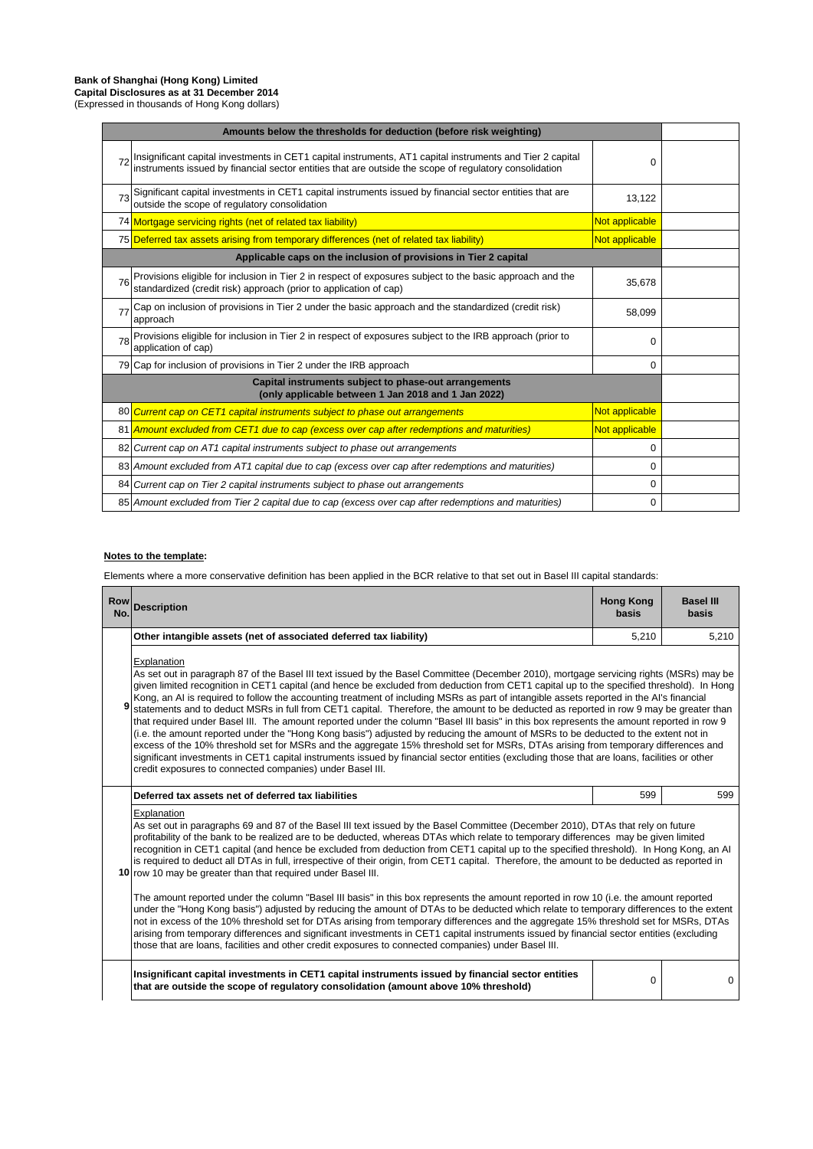#### **Bank of Shanghai (Hong Kong) Limited Capital Disclosures as at 31 December 2014**

(Expressed in thousands of Hong Kong dollars)

| Amounts below the thresholds for deduction (before risk weighting)                                           |                                                                                                                                                                                                                      |                |  |
|--------------------------------------------------------------------------------------------------------------|----------------------------------------------------------------------------------------------------------------------------------------------------------------------------------------------------------------------|----------------|--|
|                                                                                                              | Insignificant capital investments in CET1 capital instruments, AT1 capital instruments and Tier 2 capital<br> instruments issued by financial sector entities that are outside the scope of regulatory consolidation | 0              |  |
|                                                                                                              | 73 Significant capital investments in CET1 capital instruments issued by financial sector entities that are<br>outside the scope of regulatory consolidation                                                         | 13,122         |  |
|                                                                                                              | 74 Mortgage servicing rights (net of related tax liability)                                                                                                                                                          | Not applicable |  |
|                                                                                                              | 75 Deferred tax assets arising from temporary differences (net of related tax liability)                                                                                                                             | Not applicable |  |
|                                                                                                              | Applicable caps on the inclusion of provisions in Tier 2 capital                                                                                                                                                     |                |  |
| <b>76</b>                                                                                                    | Provisions eligible for inclusion in Tier 2 in respect of exposures subject to the basic approach and the standardized (credit risk) approach (prior to application of cap)                                          | 35,678         |  |
| 77                                                                                                           | Cap on inclusion of provisions in Tier 2 under the basic approach and the standardized (credit risk)<br>approach                                                                                                     | 58,099         |  |
| 78                                                                                                           | Provisions eligible for inclusion in Tier 2 in respect of exposures subject to the IRB approach (prior to<br>application of cap)                                                                                     | $\Omega$       |  |
|                                                                                                              | 79 Cap for inclusion of provisions in Tier 2 under the IRB approach                                                                                                                                                  | O              |  |
| Capital instruments subject to phase-out arrangements<br>(only applicable between 1 Jan 2018 and 1 Jan 2022) |                                                                                                                                                                                                                      |                |  |
|                                                                                                              | 80 Current cap on CET1 capital instruments subject to phase out arrangements                                                                                                                                         | Not applicable |  |
|                                                                                                              | 81 Amount excluded from CET1 due to cap (excess over cap after redemptions and maturities)                                                                                                                           | Not applicable |  |
|                                                                                                              | 82 Current cap on AT1 capital instruments subject to phase out arrangements                                                                                                                                          | 0              |  |
|                                                                                                              | 83 Amount excluded from AT1 capital due to cap (excess over cap after redemptions and maturities)                                                                                                                    | O              |  |
|                                                                                                              | 84 Current cap on Tier 2 capital instruments subject to phase out arrangements                                                                                                                                       | $\Omega$       |  |
|                                                                                                              | 85 Amount excluded from Tier 2 capital due to cap (excess over cap after redemptions and maturities)                                                                                                                 | $\Omega$       |  |

### **Notes to the template:**

Elements where a more conservative definition has been applied in the BCR relative to that set out in Basel III capital standards:

| <b>Row</b><br>No. | <b>Description</b>                                                                                                                                                                                                                                                                                                                                                                                                                                                                                                                                                                                                                                                                                                                                                                                                                                                                                                                                                                                                                                                                                                                                                                                                              | <b>Hong Kong</b><br>basis | <b>Basel III</b><br>basis |  |
|-------------------|---------------------------------------------------------------------------------------------------------------------------------------------------------------------------------------------------------------------------------------------------------------------------------------------------------------------------------------------------------------------------------------------------------------------------------------------------------------------------------------------------------------------------------------------------------------------------------------------------------------------------------------------------------------------------------------------------------------------------------------------------------------------------------------------------------------------------------------------------------------------------------------------------------------------------------------------------------------------------------------------------------------------------------------------------------------------------------------------------------------------------------------------------------------------------------------------------------------------------------|---------------------------|---------------------------|--|
|                   | Other intangible assets (net of associated deferred tax liability)                                                                                                                                                                                                                                                                                                                                                                                                                                                                                                                                                                                                                                                                                                                                                                                                                                                                                                                                                                                                                                                                                                                                                              | 5.210                     | 5,210                     |  |
|                   | Explanation<br>As set out in paragraph 87 of the Basel III text issued by the Basel Committee (December 2010), mortgage servicing rights (MSRs) may be<br>given limited recognition in CET1 capital (and hence be excluded from deduction from CET1 capital up to the specified threshold). In Hong<br>Kong, an AI is required to follow the accounting treatment of including MSRs as part of intangible assets reported in the AI's financial<br>statements and to deduct MSRs in full from CET1 capital. Therefore, the amount to be deducted as reported in row 9 may be greater than<br>that required under Basel III. The amount reported under the column "Basel III basis" in this box represents the amount reported in row 9<br>(i.e. the amount reported under the "Hong Kong basis") adjusted by reducing the amount of MSRs to be deducted to the extent not in<br>excess of the 10% threshold set for MSRs and the aggregate 15% threshold set for MSRs, DTAs arising from temporary differences and<br>significant investments in CET1 capital instruments issued by financial sector entities (excluding those that are loans, facilities or other<br>credit exposures to connected companies) under Basel III. |                           |                           |  |
|                   | Deferred tax assets net of deferred tax liabilities                                                                                                                                                                                                                                                                                                                                                                                                                                                                                                                                                                                                                                                                                                                                                                                                                                                                                                                                                                                                                                                                                                                                                                             | 599                       | 599                       |  |
|                   | Explanation<br>As set out in paragraphs 69 and 87 of the Basel III text issued by the Basel Committee (December 2010), DTAs that rely on future<br>profitability of the bank to be realized are to be deducted, whereas DTAs which relate to temporary differences may be given limited<br>recognition in CET1 capital (and hence be excluded from deduction from CET1 capital up to the specified threshold). In Hong Kong, an Al<br>is required to deduct all DTAs in full, irrespective of their origin, from CET1 capital. Therefore, the amount to be deducted as reported in<br>10 row 10 may be greater than that required under Basel III.                                                                                                                                                                                                                                                                                                                                                                                                                                                                                                                                                                              |                           |                           |  |
|                   | The amount reported under the column "Basel III basis" in this box represents the amount reported in row 10 (i.e. the amount reported<br>under the "Hong Kong basis") adjusted by reducing the amount of DTAs to be deducted which relate to temporary differences to the extent<br>not in excess of the 10% threshold set for DTAs arising from temporary differences and the aggregate 15% threshold set for MSRs, DTAs<br>arising from temporary differences and significant investments in CET1 capital instruments issued by financial sector entities (excluding<br>those that are loans, facilities and other credit exposures to connected companies) under Basel III.                                                                                                                                                                                                                                                                                                                                                                                                                                                                                                                                                  |                           |                           |  |
|                   | Insignificant capital investments in CET1 capital instruments issued by financial sector entities<br>that are outside the scope of regulatory consolidation (amount above 10% threshold)                                                                                                                                                                                                                                                                                                                                                                                                                                                                                                                                                                                                                                                                                                                                                                                                                                                                                                                                                                                                                                        | $\Omega$                  | 0                         |  |